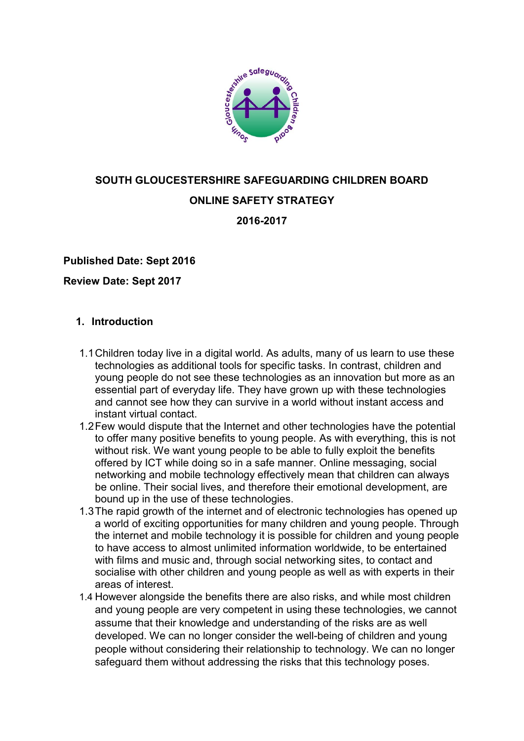

# **SOUTH GLOUCESTERSHIRE SAFEGUARDING CHILDREN BOARD ONLINE SAFETY STRATEGY**

**2016-2017**

## **Published Date: Sept 2016**

**Review Date: Sept 2017**

### **1. Introduction**

- 1.1Children today live in a digital world. As adults, many of us learn to use these technologies as additional tools for specific tasks. In contrast, children and young people do not see these technologies as an innovation but more as an essential part of everyday life. They have grown up with these technologies and cannot see how they can survive in a world without instant access and instant virtual contact.
- 1.2Few would dispute that the Internet and other technologies have the potential to offer many positive benefits to young people. As with everything, this is not without risk. We want young people to be able to fully exploit the benefits offered by ICT while doing so in a safe manner. Online messaging, social networking and mobile technology effectively mean that children can always be online. Their social lives, and therefore their emotional development, are bound up in the use of these technologies.
- 1.3The rapid growth of the internet and of electronic technologies has opened up a world of exciting opportunities for many children and young people. Through the internet and mobile technology it is possible for children and young people to have access to almost unlimited information worldwide, to be entertained with films and music and, through social networking sites, to contact and socialise with other children and young people as well as with experts in their areas of interest.
- 1.4 However alongside the benefits there are also risks, and while most children and young people are very competent in using these technologies, we cannot assume that their knowledge and understanding of the risks are as well developed. We can no longer consider the well-being of children and young people without considering their relationship to technology. We can no longer safeguard them without addressing the risks that this technology poses.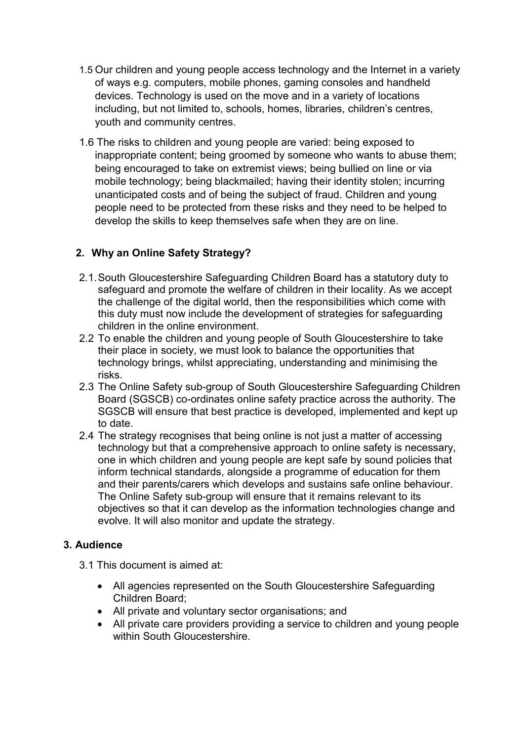- 1.5 Our children and young people access technology and the Internet in a variety of ways e.g. computers, mobile phones, gaming consoles and handheld devices. Technology is used on the move and in a variety of locations including, but not limited to, schools, homes, libraries, children's centres, youth and community centres.
- 1.6 The risks to children and young people are varied: being exposed to inappropriate content; being groomed by someone who wants to abuse them; being encouraged to take on extremist views; being bullied on line or via mobile technology; being blackmailed; having their identity stolen; incurring unanticipated costs and of being the subject of fraud. Children and young people need to be protected from these risks and they need to be helped to develop the skills to keep themselves safe when they are on line.

## **2. Why an Online Safety Strategy?**

- 2.1.South Gloucestershire Safeguarding Children Board has a statutory duty to safeguard and promote the welfare of children in their locality. As we accept the challenge of the digital world, then the responsibilities which come with this duty must now include the development of strategies for safeguarding children in the online environment.
- 2.2 To enable the children and young people of South Gloucestershire to take their place in society, we must look to balance the opportunities that technology brings, whilst appreciating, understanding and minimising the risks.
- 2.3 The Online Safety sub-group of South Gloucestershire Safeguarding Children Board (SGSCB) co-ordinates online safety practice across the authority. The SGSCB will ensure that best practice is developed, implemented and kept up to date.
- 2.4 The strategy recognises that being online is not just a matter of accessing technology but that a comprehensive approach to online safety is necessary, one in which children and young people are kept safe by sound policies that inform technical standards, alongside a programme of education for them and their parents/carers which develops and sustains safe online behaviour. The Online Safety sub-group will ensure that it remains relevant to its objectives so that it can develop as the information technologies change and evolve. It will also monitor and update the strategy.

## **3. Audience**

- 3.1 This document is aimed at:
	- All agencies represented on the South Gloucestershire Safeguarding Children Board;
	- All private and voluntary sector organisations; and
	- All private care providers providing a service to children and young people within South Gloucestershire.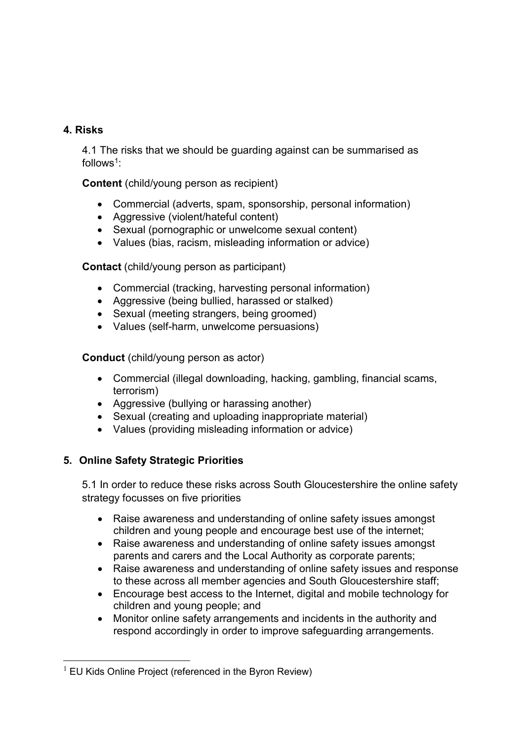## **4. Risks**

4.1 The risks that we should be guarding against can be summarised as  $follows<sup>1</sup>$ 

**Content** (child/young person as recipient)

- Commercial (adverts, spam, sponsorship, personal information)
- Aggressive (violent/hateful content)
- Sexual (pornographic or unwelcome sexual content)
- Values (bias, racism, misleading information or advice)

**Contact** (child/young person as participant)

- Commercial (tracking, harvesting personal information)
- Aggressive (being bullied, harassed or stalked)
- Sexual (meeting strangers, being groomed)
- Values (self-harm, unwelcome persuasions)

**Conduct** (child/young person as actor)

- Commercial (illegal downloading, hacking, gambling, financial scams, terrorism)
- Aggressive (bullying or harassing another)
- Sexual (creating and uploading inappropriate material)
- Values (providing misleading information or advice)

## **5. Online Safety Strategic Priorities**

5.1 In order to reduce these risks across South Gloucestershire the online safety strategy focusses on five priorities

- Raise awareness and understanding of online safety issues amongst children and young people and encourage best use of the internet;
- Raise awareness and understanding of online safety issues amongst parents and carers and the Local Authority as corporate parents;
- Raise awareness and understanding of online safety issues and response to these across all member agencies and South Gloucestershire staff;
- Encourage best access to the Internet, digital and mobile technology for children and young people; and
- Monitor online safety arrangements and incidents in the authority and respond accordingly in order to improve safeguarding arrangements.

<sup>1</sup>  $1$  EU Kids Online Project (referenced in the Byron Review)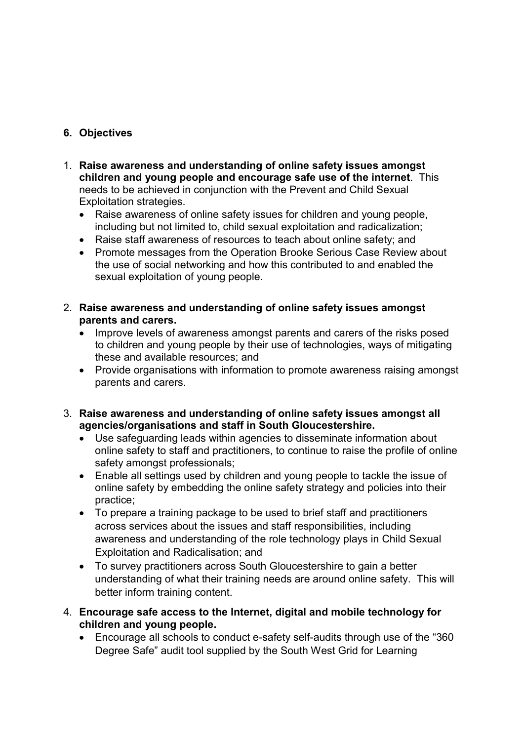## **6. Objectives**

- 1. **Raise awareness and understanding of online safety issues amongst children and young people and encourage safe use of the internet**. This needs to be achieved in conjunction with the Prevent and Child Sexual Exploitation strategies.
	- Raise awareness of online safety issues for children and young people, including but not limited to, child sexual exploitation and radicalization;
	- Raise staff awareness of resources to teach about online safety; and
	- Promote messages from the Operation Brooke Serious Case Review about the use of social networking and how this contributed to and enabled the sexual exploitation of young people.
- 2. **Raise awareness and understanding of online safety issues amongst parents and carers.**
	- Improve levels of awareness amongst parents and carers of the risks posed to children and young people by their use of technologies, ways of mitigating these and available resources; and
	- Provide organisations with information to promote awareness raising amongst parents and carers.
- 3. **Raise awareness and understanding of online safety issues amongst all agencies/organisations and staff in South Gloucestershire.**
	- Use safeguarding leads within agencies to disseminate information about online safety to staff and practitioners, to continue to raise the profile of online safety amongst professionals;
	- Enable all settings used by children and young people to tackle the issue of online safety by embedding the online safety strategy and policies into their practice;
	- To prepare a training package to be used to brief staff and practitioners across services about the issues and staff responsibilities, including awareness and understanding of the role technology plays in Child Sexual Exploitation and Radicalisation; and
	- To survey practitioners across South Gloucestershire to gain a better understanding of what their training needs are around online safety. This will better inform training content.
- 4. **Encourage safe access to the Internet, digital and mobile technology for children and young people.** 
	- Encourage all schools to conduct e-safety self-audits through use of the "360 Degree Safe" audit tool supplied by the South West Grid for Learning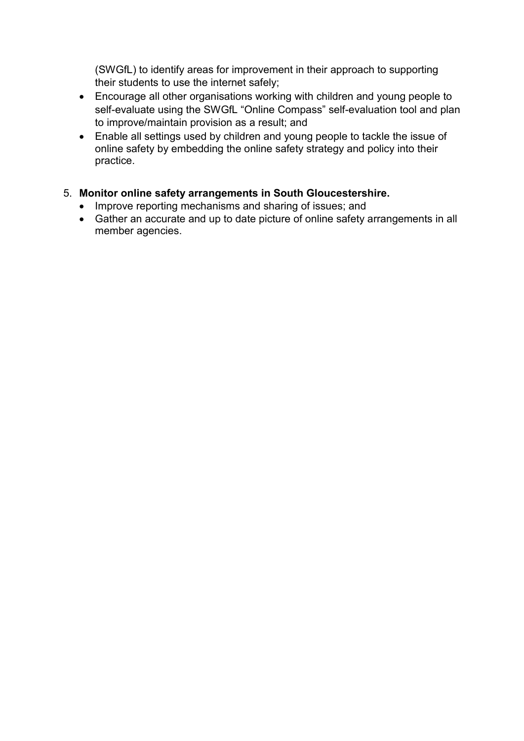(SWGfL) to identify areas for improvement in their approach to supporting their students to use the internet safely;

- Encourage all other organisations working with children and young people to self-evaluate using the SWGfL "Online Compass" self-evaluation tool and plan to improve/maintain provision as a result; and
- Enable all settings used by children and young people to tackle the issue of online safety by embedding the online safety strategy and policy into their practice.

## 5. **Monitor online safety arrangements in South Gloucestershire.**

- Improve reporting mechanisms and sharing of issues; and
- Gather an accurate and up to date picture of online safety arrangements in all member agencies.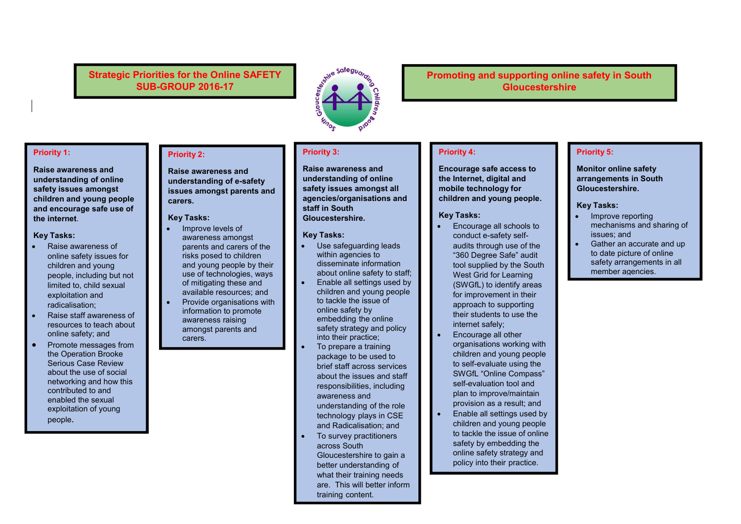### **Strategic Priorities for the Online SAFETY SUB-GROUP 2016-17**



### **Promoting and supporting online safety in South Gloucestershire**

#### **Priority 1:**

**Raise awareness and understanding of online safety issues amongst children and young people and encourage safe use of the internet**.

#### **Key Tasks:**

- Raise awareness of online safety issues for children and young people, including but not limited to, child sexual exploitation and radicalisation;
- Raise staff awareness of resources to teach about online safety; and
- Promote messages from the Operation Brooke Serious Case Review about the use of social networking and how this contributed to and enabled the sexual exploitation of young people.

#### **Priority 2:**

**Raise awareness and understanding of e-safety issues amongst parents and carers.**

#### **Key Tasks:**

- Improve levels of awareness amongst parents and carers of the risks posed to children and young people by their use of technologies, ways of mitigating these and available resources; and
- Provide organisations with information to promote awareness raising amongst parents and carers.

### **Priority 3:**

**Raise awareness and understanding of online safety issues amongst all agencies/organisations and staff in South Gloucestershire.** 

#### **Key Tasks:**

- Use safeguarding leads within agencies to disseminate information about online safety to staff;
- Enable all settings used by children and young people to tackle the issue of online safety by embedding the online safety strategy and policy into their practice;
- To prepare a training package to be used to brief staff across services about the issues and staff responsibilities, including awareness and understanding of the role technology plays in CSE and Radicalisation; and
- To survey practitioners across South Gloucestershire to gain a better understanding of what their training needs are. This will better inform training content.

#### **Priority 4:**

**Encourage safe access to the Internet, digital and mobile technology for children and young people.** 

#### **Key Tasks:**

- Encourage all schools to conduct e-safety selfaudits through use of the "360 Degree Safe" audit tool supplied by the South West Grid for Learning (SWGfL) to identify areas for improvement in their approach to supporting their students to use the internet safely;
- Encourage all other organisations working with children and young people to self-evaluate using the SWGfL "Online Compass" self-evaluation tool and plan to improve/maintain provision as a result; and
- Enable all settings used by children and young people to tackle the issue of online safety by embedding the online safety strategy and policy into their practice.

#### **Priority 5:**

**Monitor online safety arrangements in South Gloucestershire.** 

#### **Key Tasks:**

- Improve reporting mechanisms and sharing of issues; and
- Gather an accurate and up to date picture of online safety arrangements in all member agencies.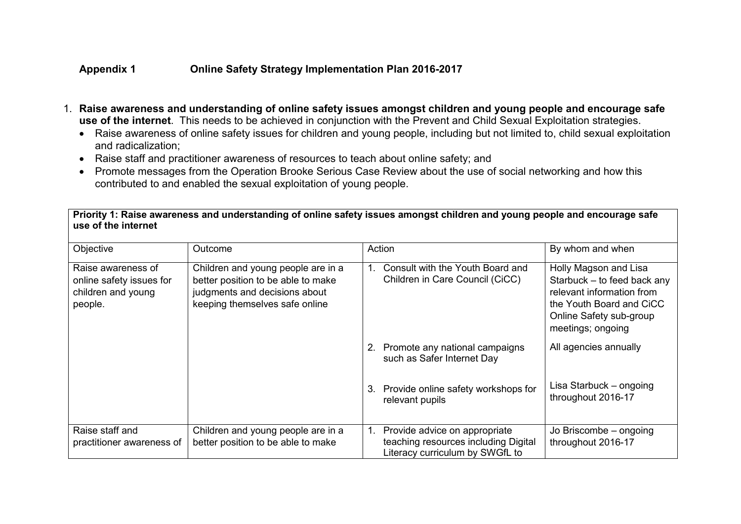### **Appendix 1 Online Safety Strategy Implementation Plan 2016-2017**

- 1. **Raise awareness and understanding of online safety issues amongst children and young people and encourage safe use of the internet**. This needs to be achieved in conjunction with the Prevent and Child Sexual Exploitation strategies.
	- Raise awareness of online safety issues for children and young people, including but not limited to, child sexual exploitation and radicalization;
	- Raise staff and practitioner awareness of resources to teach about online safety; and
	- Promote messages from the Operation Brooke Serious Case Review about the use of social networking and how this contributed to and enabled the sexual exploitation of young people.

**Priority 1: Raise awareness and understanding of online safety issues amongst children and young people and encourage safe use of the internet**

| Objective                                                                       | Outcome                                                                                                                                     | Action                                                                                                         | By whom and when                                                                                                                                              |
|---------------------------------------------------------------------------------|---------------------------------------------------------------------------------------------------------------------------------------------|----------------------------------------------------------------------------------------------------------------|---------------------------------------------------------------------------------------------------------------------------------------------------------------|
| Raise awareness of<br>online safety issues for<br>children and young<br>people. | Children and young people are in a<br>better position to be able to make<br>judgments and decisions about<br>keeping themselves safe online | Consult with the Youth Board and<br>1.<br>Children in Care Council (CiCC)                                      | Holly Magson and Lisa<br>Starbuck - to feed back any<br>relevant information from<br>the Youth Board and CiCC<br>Online Safety sub-group<br>meetings; ongoing |
|                                                                                 |                                                                                                                                             | Promote any national campaigns<br>2.<br>such as Safer Internet Day                                             | All agencies annually                                                                                                                                         |
|                                                                                 |                                                                                                                                             | Provide online safety workshops for<br>3.<br>relevant pupils                                                   | Lisa Starbuck - ongoing<br>throughout 2016-17                                                                                                                 |
| Raise staff and<br>practitioner awareness of                                    | Children and young people are in a<br>better position to be able to make                                                                    | Provide advice on appropriate<br>1.<br>teaching resources including Digital<br>Literacy curriculum by SWGfL to | Jo Briscombe - ongoing<br>throughout 2016-17                                                                                                                  |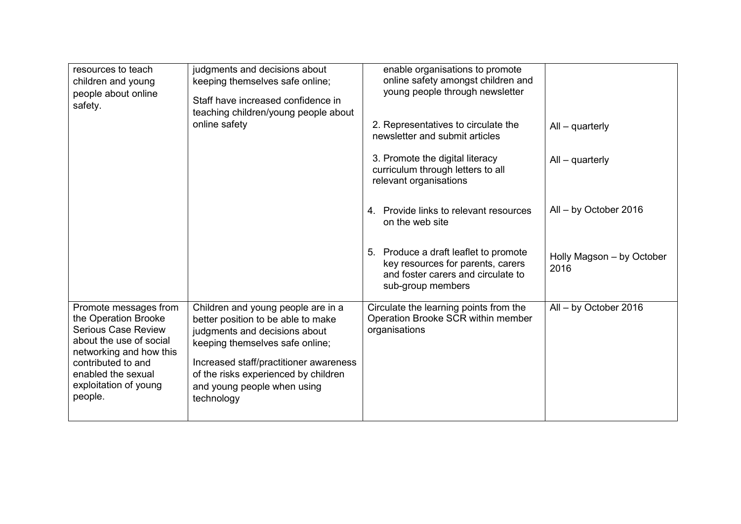| resources to teach<br>children and young<br>people about online<br>safety.                                                                                                                                        | judgments and decisions about<br>keeping themselves safe online;<br>Staff have increased confidence in<br>teaching children/young people about                                                                                                                              | enable organisations to promote<br>online safety amongst children and<br>young people through newsletter                              |                                   |
|-------------------------------------------------------------------------------------------------------------------------------------------------------------------------------------------------------------------|-----------------------------------------------------------------------------------------------------------------------------------------------------------------------------------------------------------------------------------------------------------------------------|---------------------------------------------------------------------------------------------------------------------------------------|-----------------------------------|
|                                                                                                                                                                                                                   | online safety                                                                                                                                                                                                                                                               | 2. Representatives to circulate the<br>newsletter and submit articles                                                                 | $All - quarterly$                 |
|                                                                                                                                                                                                                   |                                                                                                                                                                                                                                                                             | 3. Promote the digital literacy<br>curriculum through letters to all<br>relevant organisations                                        | $All - quarterly$                 |
|                                                                                                                                                                                                                   |                                                                                                                                                                                                                                                                             | 4. Provide links to relevant resources<br>on the web site                                                                             | $All - by October 2016$           |
|                                                                                                                                                                                                                   |                                                                                                                                                                                                                                                                             | 5. Produce a draft leaflet to promote<br>key resources for parents, carers<br>and foster carers and circulate to<br>sub-group members | Holly Magson - by October<br>2016 |
| Promote messages from<br>the Operation Brooke<br><b>Serious Case Review</b><br>about the use of social<br>networking and how this<br>contributed to and<br>enabled the sexual<br>exploitation of young<br>people. | Children and young people are in a<br>better position to be able to make<br>judgments and decisions about<br>keeping themselves safe online;<br>Increased staff/practitioner awareness<br>of the risks experienced by children<br>and young people when using<br>technology | Circulate the learning points from the<br>Operation Brooke SCR within member<br>organisations                                         | All - by October 2016             |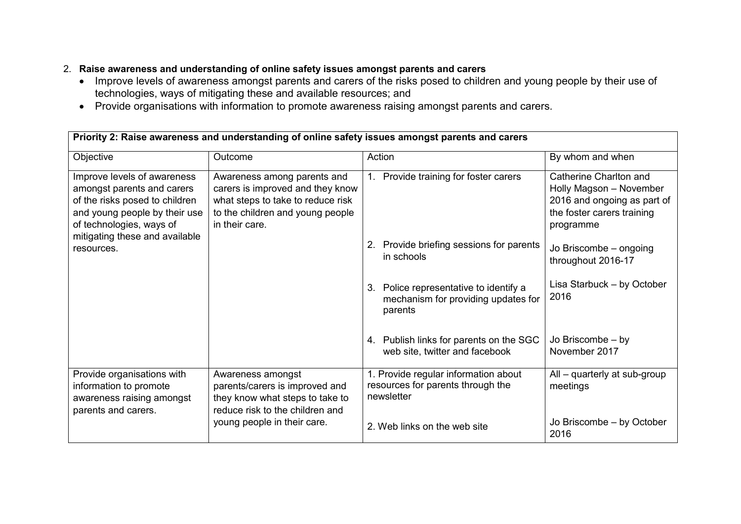## 2. **Raise awareness and understanding of online safety issues amongst parents and carers**

- Improve levels of awareness amongst parents and carers of the risks posed to children and young people by their use of technologies, ways of mitigating these and available resources; and
- Provide organisations with information to promote awareness raising amongst parents and carers.

| Priority 2: Raise awareness and understanding of online safety issues amongst parents and carers                                                                                                         |                                                                                                                                                            |                                                                                             |                                                                                                                             |
|----------------------------------------------------------------------------------------------------------------------------------------------------------------------------------------------------------|------------------------------------------------------------------------------------------------------------------------------------------------------------|---------------------------------------------------------------------------------------------|-----------------------------------------------------------------------------------------------------------------------------|
| Objective                                                                                                                                                                                                | Outcome                                                                                                                                                    | Action                                                                                      | By whom and when                                                                                                            |
| Improve levels of awareness<br>amongst parents and carers<br>of the risks posed to children<br>and young people by their use<br>of technologies, ways of<br>mitigating these and available<br>resources. | Awareness among parents and<br>carers is improved and they know<br>what steps to take to reduce risk<br>to the children and young people<br>in their care. | Provide training for foster carers<br>1.                                                    | Catherine Charlton and<br>Holly Magson - November<br>2016 and ongoing as part of<br>the foster carers training<br>programme |
|                                                                                                                                                                                                          |                                                                                                                                                            | 2. Provide briefing sessions for parents<br>in schools                                      | Jo Briscombe - ongoing<br>throughout 2016-17                                                                                |
|                                                                                                                                                                                                          |                                                                                                                                                            | Police representative to identify a<br>3.<br>mechanism for providing updates for<br>parents | Lisa Starbuck - by October<br>2016                                                                                          |
|                                                                                                                                                                                                          |                                                                                                                                                            | 4. Publish links for parents on the SGC<br>web site, twitter and facebook                   | Jo Briscombe - by<br>November 2017                                                                                          |
| Provide organisations with<br>information to promote<br>awareness raising amongst<br>parents and carers.                                                                                                 | Awareness amongst<br>parents/carers is improved and<br>they know what steps to take to<br>reduce risk to the children and                                  | 1. Provide regular information about<br>resources for parents through the<br>newsletter     | $All - quarterly$ at sub-group<br>meetings                                                                                  |
|                                                                                                                                                                                                          | young people in their care.                                                                                                                                | 2. Web links on the web site                                                                | Jo Briscombe - by October<br>2016                                                                                           |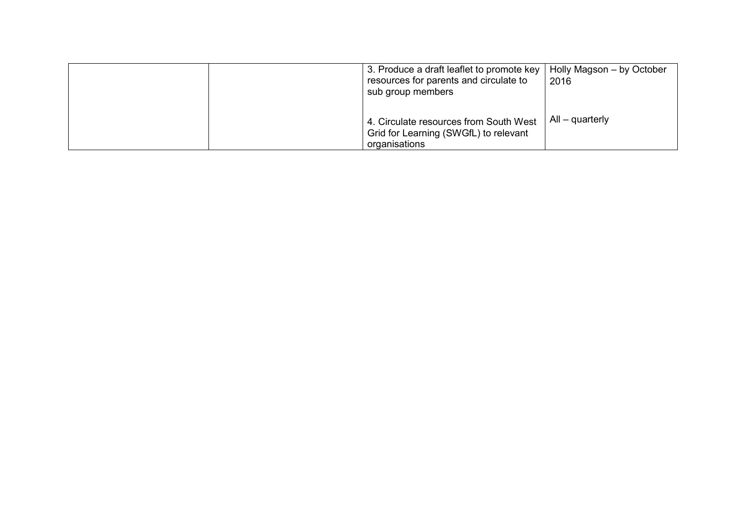| 3. Produce a draft leaflet to promote key<br>resources for parents and circulate to<br>sub group members | Holly Magson – by October<br>2016 |  |
|----------------------------------------------------------------------------------------------------------|-----------------------------------|--|
| 4. Circulate resources from South West<br>Grid for Learning (SWGfL) to relevant<br>organisations         | $All - quarterly$                 |  |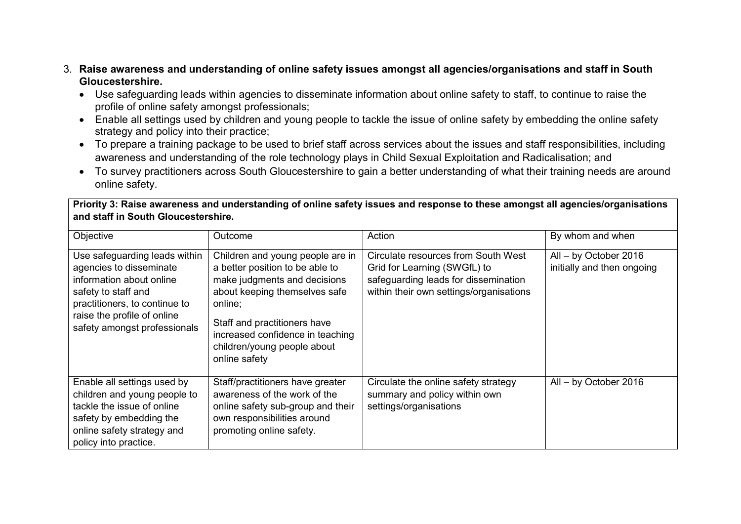### 3. **Raise awareness and understanding of online safety issues amongst all agencies/organisations and staff in South Gloucestershire.**

- Use safeguarding leads within agencies to disseminate information about online safety to staff, to continue to raise the profile of online safety amongst professionals;
- Enable all settings used by children and young people to tackle the issue of online safety by embedding the online safety strategy and policy into their practice;
- To prepare a training package to be used to brief staff across services about the issues and staff responsibilities, including awareness and understanding of the role technology plays in Child Sexual Exploitation and Radicalisation; and
- To survey practitioners across South Gloucestershire to gain a better understanding of what their training needs are around online safety.

**Priority 3: Raise awareness and understanding of online safety issues and response to these amongst all agencies/organisations and staff in South Gloucestershire.** 

| Objective                                                                                                                                                                                                   | Outcome                                                                                                                                                                                                                                                             | Action                                                                                                                                                 | By whom and when                                    |
|-------------------------------------------------------------------------------------------------------------------------------------------------------------------------------------------------------------|---------------------------------------------------------------------------------------------------------------------------------------------------------------------------------------------------------------------------------------------------------------------|--------------------------------------------------------------------------------------------------------------------------------------------------------|-----------------------------------------------------|
| Use safeguarding leads within<br>agencies to disseminate<br>information about online<br>safety to staff and<br>practitioners, to continue to<br>raise the profile of online<br>safety amongst professionals | Children and young people are in<br>a better position to be able to<br>make judgments and decisions<br>about keeping themselves safe<br>online;<br>Staff and practitioners have<br>increased confidence in teaching<br>children/young people about<br>online safety | Circulate resources from South West<br>Grid for Learning (SWGfL) to<br>safeguarding leads for dissemination<br>within their own settings/organisations | All - by October 2016<br>initially and then ongoing |
| Enable all settings used by<br>children and young people to<br>tackle the issue of online<br>safety by embedding the<br>online safety strategy and<br>policy into practice.                                 | Staff/practitioners have greater<br>awareness of the work of the<br>online safety sub-group and their<br>own responsibilities around<br>promoting online safety.                                                                                                    | Circulate the online safety strategy<br>summary and policy within own<br>settings/organisations                                                        | All - by October 2016                               |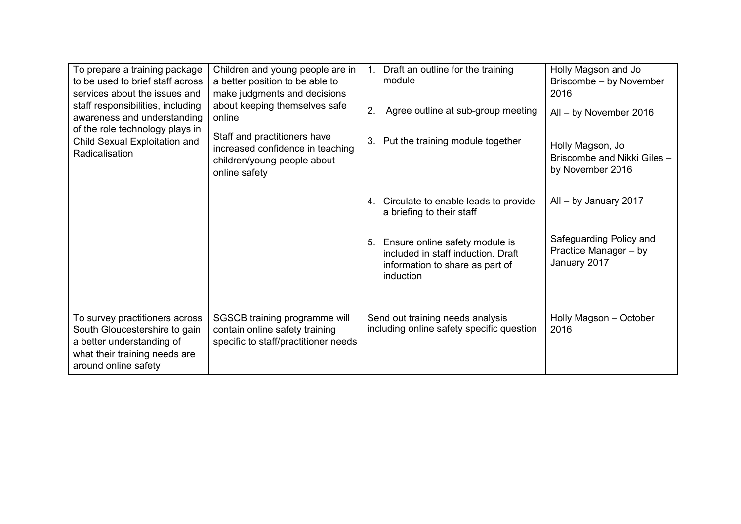| To prepare a training package<br>to be used to brief staff across<br>services about the issues and<br>staff responsibilities, including<br>awareness and understanding<br>of the role technology plays in<br>Child Sexual Exploitation and<br>Radicalisation | Children and young people are in<br>a better position to be able to<br>make judgments and decisions<br>about keeping themselves safe<br>online<br>Staff and practitioners have<br>increased confidence in teaching<br>children/young people about<br>online safety | Draft an outline for the training<br>1.<br>module<br>Agree outline at sub-group meeting<br>2.<br>Put the training module together<br>3.<br>4. Circulate to enable leads to provide<br>a briefing to their staff<br>5. Ensure online safety module is<br>included in staff induction. Draft<br>information to share as part of<br>induction | Holly Magson and Jo<br>Briscombe - by November<br>2016<br>All - by November 2016<br>Holly Magson, Jo<br>Briscombe and Nikki Giles -<br>by November 2016<br>All - by January 2017<br>Safeguarding Policy and<br>Practice Manager - by<br>January 2017 |
|--------------------------------------------------------------------------------------------------------------------------------------------------------------------------------------------------------------------------------------------------------------|--------------------------------------------------------------------------------------------------------------------------------------------------------------------------------------------------------------------------------------------------------------------|--------------------------------------------------------------------------------------------------------------------------------------------------------------------------------------------------------------------------------------------------------------------------------------------------------------------------------------------|------------------------------------------------------------------------------------------------------------------------------------------------------------------------------------------------------------------------------------------------------|
| To survey practitioners across<br>South Gloucestershire to gain<br>a better understanding of<br>what their training needs are<br>around online safety                                                                                                        | SGSCB training programme will<br>contain online safety training<br>specific to staff/practitioner needs                                                                                                                                                            | Send out training needs analysis<br>including online safety specific question                                                                                                                                                                                                                                                              | Holly Magson - October<br>2016                                                                                                                                                                                                                       |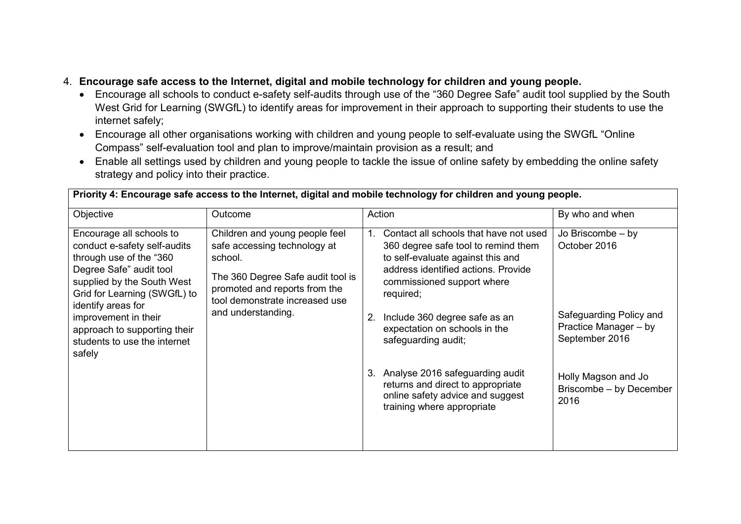## 4. **Encourage safe access to the Internet, digital and mobile technology for children and young people.**

- Encourage all schools to conduct e-safety self-audits through use of the "360 Degree Safe" audit tool supplied by the South West Grid for Learning (SWGfL) to identify areas for improvement in their approach to supporting their students to use the internet safely;
- Encourage all other organisations working with children and young people to self-evaluate using the SWGfL "Online Compass" self-evaluation tool and plan to improve/maintain provision as a result; and
- Enable all settings used by children and young people to tackle the issue of online safety by embedding the online safety strategy and policy into their practice.

| Priority 4: Encourage safe access to the Internet, digital and mobile technology for children and young people.                                                                                    |                                                                                                                                                                                                         |                                                                                                                                                                                                            |                                                                    |  |
|----------------------------------------------------------------------------------------------------------------------------------------------------------------------------------------------------|---------------------------------------------------------------------------------------------------------------------------------------------------------------------------------------------------------|------------------------------------------------------------------------------------------------------------------------------------------------------------------------------------------------------------|--------------------------------------------------------------------|--|
| Objective                                                                                                                                                                                          | Outcome                                                                                                                                                                                                 | Action                                                                                                                                                                                                     | By who and when                                                    |  |
| Encourage all schools to<br>conduct e-safety self-audits<br>through use of the "360<br>Degree Safe" audit tool<br>supplied by the South West<br>Grid for Learning (SWGfL) to<br>identify areas for | Children and young people feel<br>safe accessing technology at<br>school.<br>The 360 Degree Safe audit tool is<br>promoted and reports from the<br>tool demonstrate increased use<br>and understanding. | Contact all schools that have not used<br>1.<br>360 degree safe tool to remind them<br>to self-evaluate against this and<br>address identified actions. Provide<br>commissioned support where<br>required; | Jo Briscombe - by<br>October 2016                                  |  |
| improvement in their<br>approach to supporting their<br>students to use the internet<br>safely                                                                                                     |                                                                                                                                                                                                         | Include 360 degree safe as an<br>$2_{\cdot}$<br>expectation on schools in the<br>safeguarding audit;                                                                                                       | Safeguarding Policy and<br>Practice Manager - by<br>September 2016 |  |
|                                                                                                                                                                                                    |                                                                                                                                                                                                         | Analyse 2016 safeguarding audit<br>3.<br>returns and direct to appropriate<br>online safety advice and suggest<br>training where appropriate                                                               | Holly Magson and Jo<br>Briscombe - by December<br>2016             |  |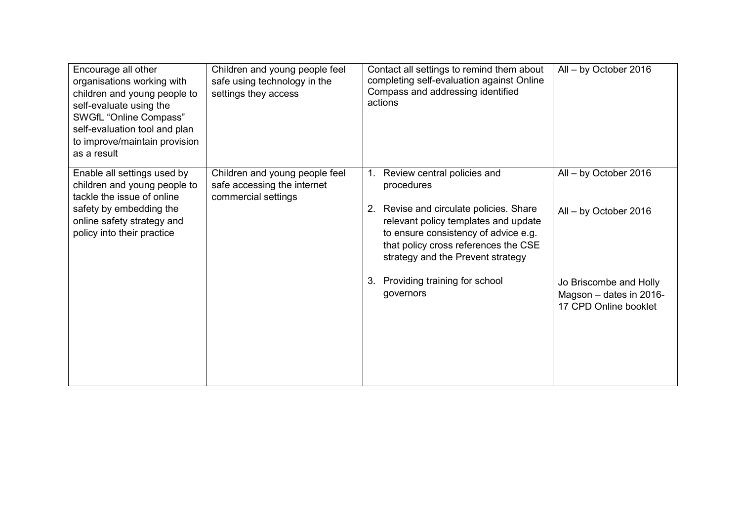| Encourage all other<br>organisations working with<br>children and young people to<br>self-evaluate using the<br>SWGfL "Online Compass"<br>self-evaluation tool and plan<br>to improve/maintain provision<br>as a result | Children and young people feel<br>safe using technology in the<br>settings they access | Contact all settings to remind them about<br>completing self-evaluation against Online<br>Compass and addressing identified<br>actions                                                                                                                       | All - by October 2016                                                      |
|-------------------------------------------------------------------------------------------------------------------------------------------------------------------------------------------------------------------------|----------------------------------------------------------------------------------------|--------------------------------------------------------------------------------------------------------------------------------------------------------------------------------------------------------------------------------------------------------------|----------------------------------------------------------------------------|
| Enable all settings used by<br>children and young people to<br>tackle the issue of online<br>safety by embedding the<br>online safety strategy and<br>policy into their practice                                        | Children and young people feel<br>safe accessing the internet<br>commercial settings   | Review central policies and<br>$1_{-}$<br>procedures<br>2. Revise and circulate policies. Share<br>relevant policy templates and update<br>to ensure consistency of advice e.g.<br>that policy cross references the CSE<br>strategy and the Prevent strategy | All - by October 2016<br>All - by October 2016                             |
|                                                                                                                                                                                                                         |                                                                                        | Providing training for school<br>3.<br>governors                                                                                                                                                                                                             | Jo Briscombe and Holly<br>Magson - dates in 2016-<br>17 CPD Online booklet |